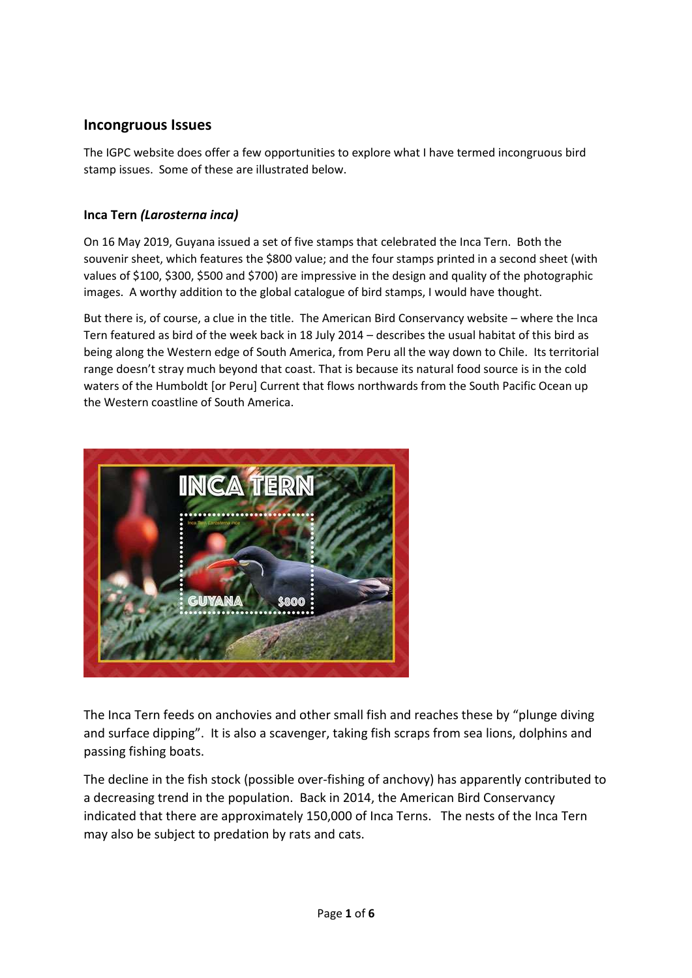# **Incongruous Issues**

The IGPC website does offer a few opportunities to explore what I have termed incongruous bird stamp issues. Some of these are illustrated below.

## **Inca Tern** *(Larosterna inca)*

On 16 May 2019, Guyana issued a set of five stamps that celebrated the Inca Tern. Both the souvenir sheet, which features the \$800 value; and the four stamps printed in a second sheet (with values of \$100, \$300, \$500 and \$700) are impressive in the design and quality of the photographic images. A worthy addition to the global catalogue of bird stamps, I would have thought.

But there is, of course, a clue in the title. The American Bird Conservancy website – where the Inca Tern featured as bird of the week back in 18 July 2014 – describes the usual habitat of this bird as being along the Western edge of South America, from Peru all the way down to Chile. Its territorial range doesn't stray much beyond that coast. That is because its natural food source is in the cold waters of the Humboldt [or Peru] Current that flows northwards from the South Pacific Ocean up the Western coastline of South America.



The Inca Tern feeds on anchovies and other small fish and reaches these by "plunge diving and surface dipping". It is also a scavenger, taking fish scraps from sea lions, dolphins and passing fishing boats.

The decline in the fish stock (possible over-fishing of anchovy) has apparently contributed to a decreasing trend in the population. Back in 2014, the American Bird Conservancy indicated that there are approximately 150,000 of Inca Terns. The nests of the Inca Tern may also be subject to predation by rats and cats.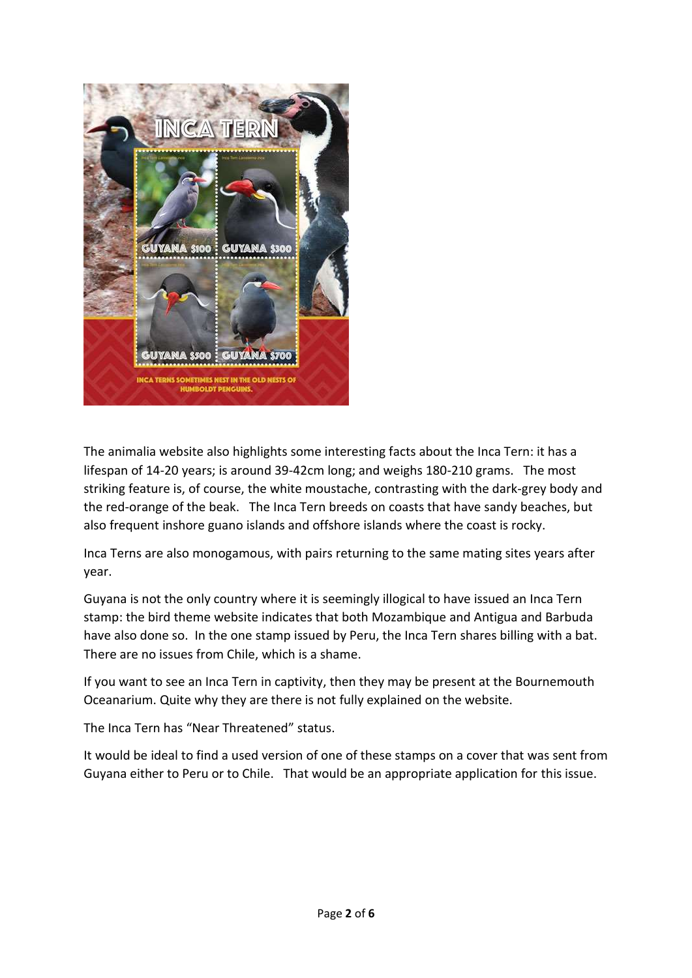

The animalia website also highlights some interesting facts about the Inca Tern: it has a lifespan of 14-20 years; is around 39-42cm long; and weighs 180-210 grams. The most striking feature is, of course, the white moustache, contrasting with the dark-grey body and the red-orange of the beak. The Inca Tern breeds on coasts that have sandy beaches, but also frequent inshore guano islands and offshore islands where the coast is rocky.

Inca Terns are also monogamous, with pairs returning to the same mating sites years after year.

Guyana is not the only country where it is seemingly illogical to have issued an Inca Tern stamp: the bird theme website indicates that both Mozambique and Antigua and Barbuda have also done so. In the one stamp issued by Peru, the Inca Tern shares billing with a bat. There are no issues from Chile, which is a shame.

If you want to see an Inca Tern in captivity, then they may be present at the Bournemouth Oceanarium. Quite why they are there is not fully explained on the website.

The Inca Tern has "Near Threatened" status.

It would be ideal to find a used version of one of these stamps on a cover that was sent from Guyana either to Peru or to Chile. That would be an appropriate application for this issue.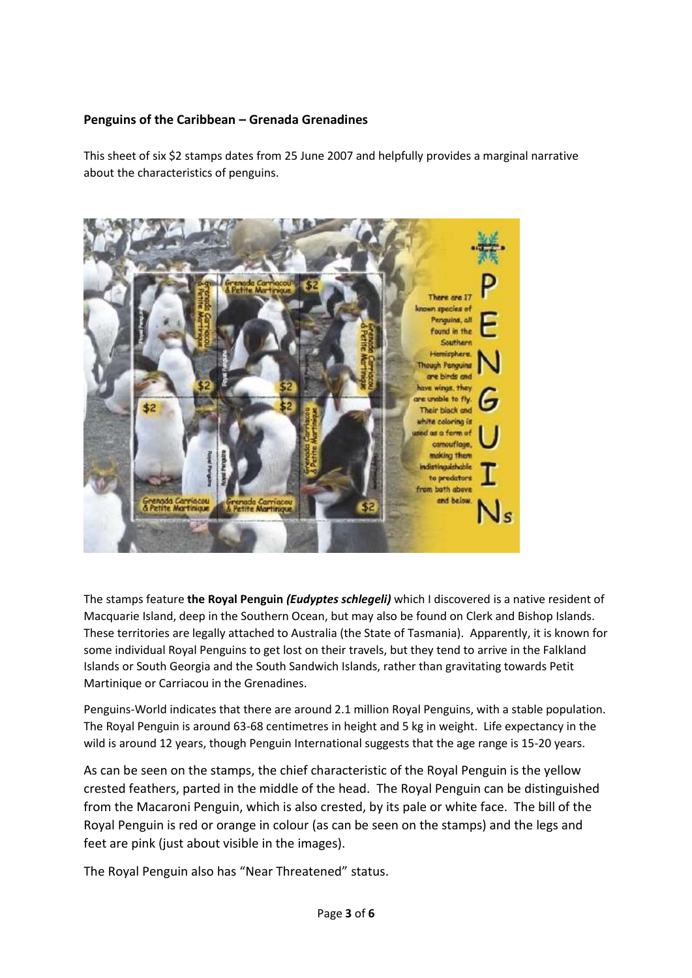### **Penguins of the Caribbean – Grenada Grenadines**

This sheet of six \$2 stamps dates from 25 June 2007 and helpfully provides a marginal narrative about the characteristics of penguins.



The stamps feature **the Royal Penguin** *(Eudyptes schlegeli)* which I discovered is a native resident of Macquarie Island, deep in the Southern Ocean, but may also be found on Clerk and Bishop Islands. These territories are legally attached to Australia (the State of Tasmania). Apparently, it is known for some individual Royal Penguins to get lost on their travels, but they tend to arrive in the Falkland Islands or South Georgia and the South Sandwich Islands, rather than gravitating towards Petit Martinique or Carriacou in the Grenadines.

Penguins-World indicates that there are around 2.1 million Royal Penguins, with a stable population. The Royal Penguin is around 63-68 centimetres in height and 5 kg in weight. Life expectancy in the wild is around 12 years, though Penguin International suggests that the age range is 15-20 years.

As can be seen on the stamps, the chief characteristic of the Royal Penguin is the yellow crested feathers, parted in the middle of the head. The Royal Penguin can be distinguished from the Macaroni Penguin, which is also crested, by its pale or white face. The bill of the Royal Penguin is red or orange in colour (as can be seen on the stamps) and the legs and feet are pink (just about visible in the images).

The Royal Penguin also has "Near Threatened" status.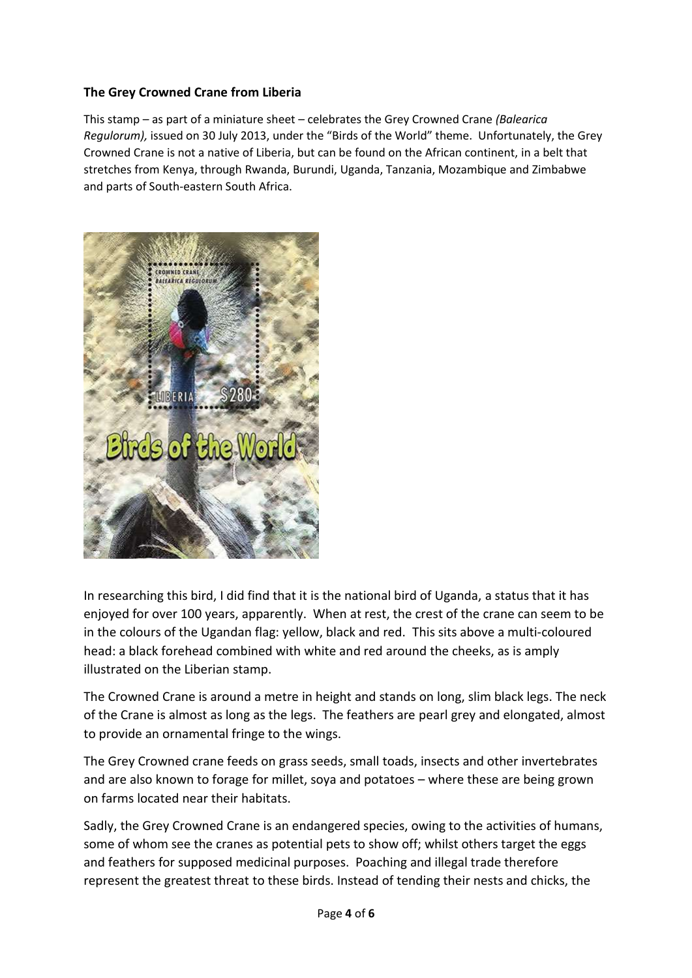### **The Grey Crowned Crane from Liberia**

This stamp – as part of a miniature sheet – celebrates the Grey Crowned Crane *(Balearica Regulorum),* issued on 30 July 2013, under the "Birds of the World" theme. Unfortunately, the Grey Crowned Crane is not a native of Liberia, but can be found on the African continent, in a belt that stretches from Kenya, through Rwanda, Burundi, Uganda, Tanzania, Mozambique and Zimbabwe and parts of South-eastern South Africa.



In researching this bird, I did find that it is the national bird of Uganda, a status that it has enjoyed for over 100 years, apparently. When at rest, the crest of the crane can seem to be in the colours of the Ugandan flag: yellow, black and red. This sits above a multi-coloured head: a black forehead combined with white and red around the cheeks, as is amply illustrated on the Liberian stamp.

The Crowned Crane is around a metre in height and stands on long, slim black legs. The neck of the Crane is almost as long as the legs. The feathers are pearl grey and elongated, almost to provide an ornamental fringe to the wings.

The Grey Crowned crane feeds on grass seeds, small toads, insects and other invertebrates and are also known to forage for millet, soya and potatoes – where these are being grown on farms located near their habitats.

Sadly, the Grey Crowned Crane is an endangered species, owing to the activities of humans, some of whom see the cranes as potential pets to show off; whilst others target the eggs and feathers for supposed medicinal purposes. Poaching and illegal trade therefore represent the greatest threat to these birds. Instead of tending their nests and chicks, the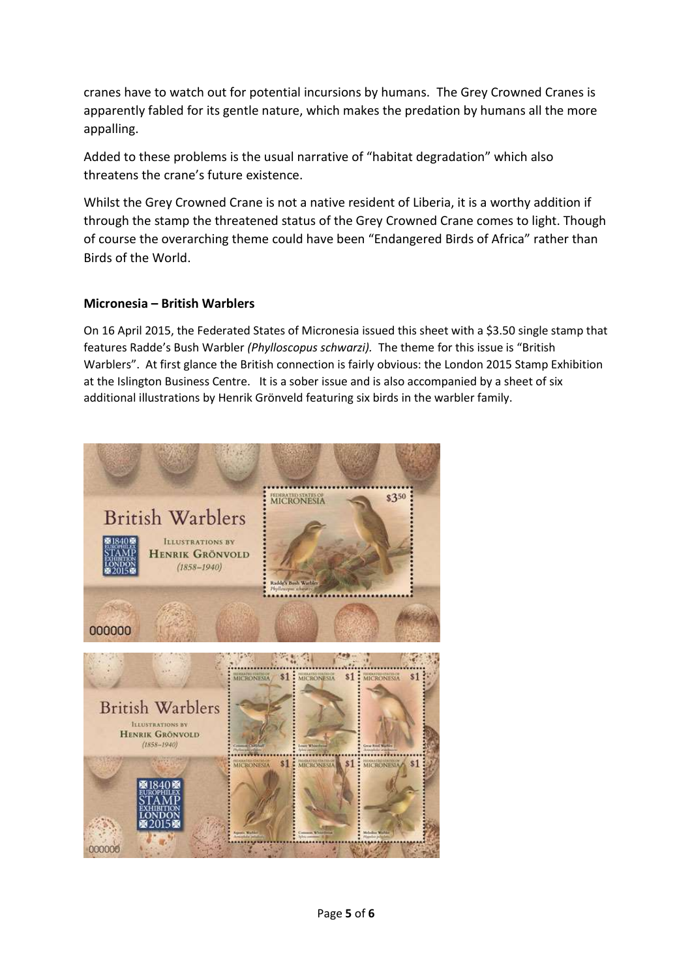cranes have to watch out for potential incursions by humans. The Grey Crowned Cranes is apparently fabled for its gentle nature, which makes the predation by humans all the more appalling.

Added to these problems is the usual narrative of "habitat degradation" which also threatens the crane's future existence.

Whilst the Grey Crowned Crane is not a native resident of Liberia, it is a worthy addition if through the stamp the threatened status of the Grey Crowned Crane comes to light. Though of course the overarching theme could have been "Endangered Birds of Africa" rather than Birds of the World.

### **Micronesia – British Warblers**

On 16 April 2015, the Federated States of Micronesia issued this sheet with a \$3.50 single stamp that features Radde's Bush Warbler *(Phylloscopus schwarzi).* The theme for this issue is "British Warblers". At first glance the British connection is fairly obvious: the London 2015 Stamp Exhibition at the Islington Business Centre. It is a sober issue and is also accompanied by a sheet of six additional illustrations by Henrik Grönveld featuring six birds in the warbler family.